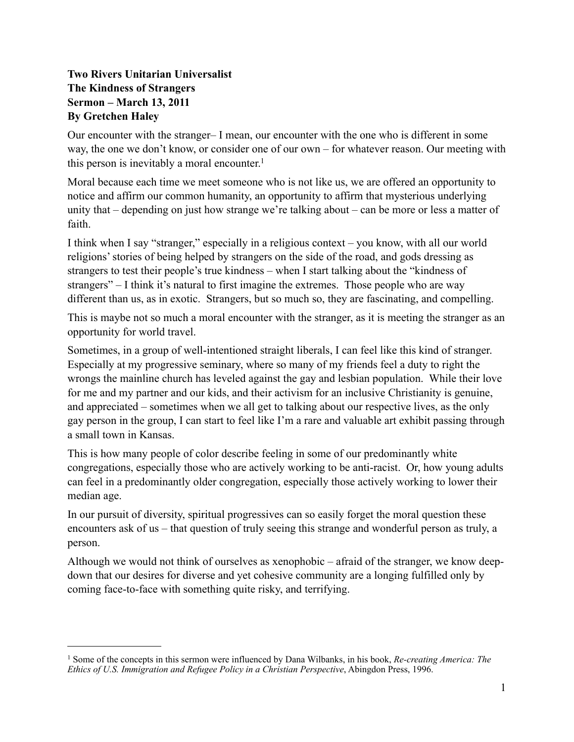## **Two Rivers Unitarian Universalist The Kindness of Strangers Sermon – March 13, 2011 By Gretchen Haley**

Our encounter with the stranger– I mean, our encounter with the one who is different in some way, the one we don't know, or consider one of our own – for whatever reason. Our meeting with this person is inevitably a moral encounter.<sup>1</sup>

Moral because each time we meet someone who is not like us, we are offered an opportunity to notice and affirm our common humanity, an opportunity to affirm that mysterious underlying unity that – depending on just how strange we're talking about – can be more or less a matter of faith.

I think when I say "stranger," especially in a religious context – you know, with all our world religions' stories of being helped by strangers on the side of the road, and gods dressing as strangers to test their people's true kindness – when I start talking about the "kindness of strangers" – I think it's natural to first imagine the extremes. Those people who are way different than us, as in exotic. Strangers, but so much so, they are fascinating, and compelling.

This is maybe not so much a moral encounter with the stranger, as it is meeting the stranger as an opportunity for world travel.

Sometimes, in a group of well-intentioned straight liberals, I can feel like this kind of stranger. Especially at my progressive seminary, where so many of my friends feel a duty to right the wrongs the mainline church has leveled against the gay and lesbian population. While their love for me and my partner and our kids, and their activism for an inclusive Christianity is genuine, and appreciated – sometimes when we all get to talking about our respective lives, as the only gay person in the group, I can start to feel like I'm a rare and valuable art exhibit passing through a small town in Kansas.

This is how many people of color describe feeling in some of our predominantly white congregations, especially those who are actively working to be anti-racist. Or, how young adults can feel in a predominantly older congregation, especially those actively working to lower their median age.

In our pursuit of diversity, spiritual progressives can so easily forget the moral question these encounters ask of us – that question of truly seeing this strange and wonderful person as truly, a person.

Although we would not think of ourselves as xenophobic – afraid of the stranger, we know deepdown that our desires for diverse and yet cohesive community are a longing fulfilled only by coming face-to-face with something quite risky, and terrifying.

<span id="page-0-0"></span><sup>1</sup> Some of the concepts in this sermon were influenced by Dana Wilbanks, in his book, *Re-creating America: The Ethics of U.S. Immigration and Refugee Policy in a Christian Perspective*, Abingdon Press, 1996.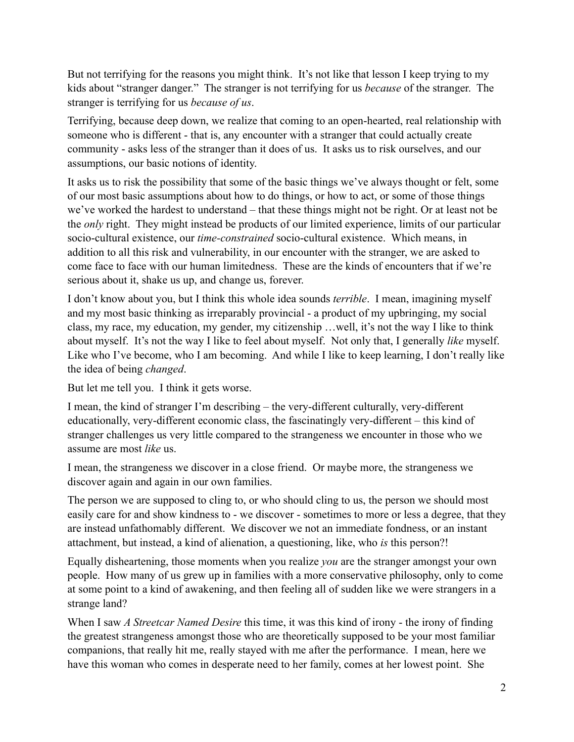But not terrifying for the reasons you might think. It's not like that lesson I keep trying to my kids about "stranger danger." The stranger is not terrifying for us *because* of the stranger. The stranger is terrifying for us *because of us*.

Terrifying, because deep down, we realize that coming to an open-hearted, real relationship with someone who is different - that is, any encounter with a stranger that could actually create community - asks less of the stranger than it does of us. It asks us to risk ourselves, and our assumptions, our basic notions of identity.

It asks us to risk the possibility that some of the basic things we've always thought or felt, some of our most basic assumptions about how to do things, or how to act, or some of those things we've worked the hardest to understand – that these things might not be right. Or at least not be the *only* right. They might instead be products of our limited experience, limits of our particular socio-cultural existence, our *time-constrained* socio-cultural existence. Which means, in addition to all this risk and vulnerability, in our encounter with the stranger, we are asked to come face to face with our human limitedness. These are the kinds of encounters that if we're serious about it, shake us up, and change us, forever.

I don't know about you, but I think this whole idea sounds *terrible*. I mean, imagining myself and my most basic thinking as irreparably provincial - a product of my upbringing, my social class, my race, my education, my gender, my citizenship …well, it's not the way I like to think about myself. It's not the way I like to feel about myself. Not only that, I generally *like* myself. Like who I've become, who I am becoming. And while I like to keep learning, I don't really like the idea of being *changed*.

But let me tell you. I think it gets worse.

I mean, the kind of stranger I'm describing – the very-different culturally, very-different educationally, very-different economic class, the fascinatingly very-different – this kind of stranger challenges us very little compared to the strangeness we encounter in those who we assume are most *like* us.

I mean, the strangeness we discover in a close friend. Or maybe more, the strangeness we discover again and again in our own families.

The person we are supposed to cling to, or who should cling to us, the person we should most easily care for and show kindness to - we discover - sometimes to more or less a degree, that they are instead unfathomably different. We discover we not an immediate fondness, or an instant attachment, but instead, a kind of alienation, a questioning, like, who *is* this person?!

Equally disheartening, those moments when you realize *you* are the stranger amongst your own people. How many of us grew up in families with a more conservative philosophy, only to come at some point to a kind of awakening, and then feeling all of sudden like we were strangers in a strange land?

When I saw *A Streetcar Named Desire* this time, it was this kind of irony - the irony of finding the greatest strangeness amongst those who are theoretically supposed to be your most familiar companions, that really hit me, really stayed with me after the performance. I mean, here we have this woman who comes in desperate need to her family, comes at her lowest point. She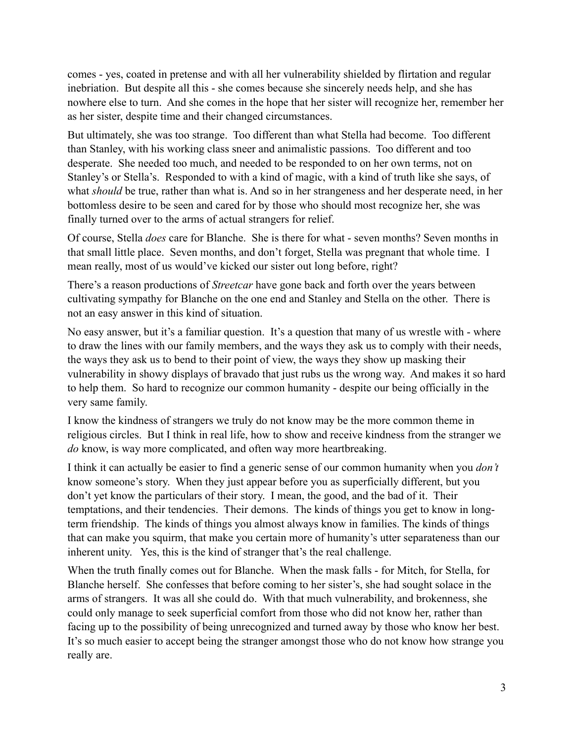comes - yes, coated in pretense and with all her vulnerability shielded by flirtation and regular inebriation. But despite all this - she comes because she sincerely needs help, and she has nowhere else to turn. And she comes in the hope that her sister will recognize her, remember her as her sister, despite time and their changed circumstances.

But ultimately, she was too strange. Too different than what Stella had become. Too different than Stanley, with his working class sneer and animalistic passions. Too different and too desperate. She needed too much, and needed to be responded to on her own terms, not on Stanley's or Stella's. Responded to with a kind of magic, with a kind of truth like she says, of what *should* be true, rather than what is. And so in her strangeness and her desperate need, in her bottomless desire to be seen and cared for by those who should most recognize her, she was finally turned over to the arms of actual strangers for relief.

Of course, Stella *does* care for Blanche. She is there for what - seven months? Seven months in that small little place. Seven months, and don't forget, Stella was pregnant that whole time. I mean really, most of us would've kicked our sister out long before, right?

There's a reason productions of *Streetcar* have gone back and forth over the years between cultivating sympathy for Blanche on the one end and Stanley and Stella on the other. There is not an easy answer in this kind of situation.

No easy answer, but it's a familiar question. It's a question that many of us wrestle with - where to draw the lines with our family members, and the ways they ask us to comply with their needs, the ways they ask us to bend to their point of view, the ways they show up masking their vulnerability in showy displays of bravado that just rubs us the wrong way. And makes it so hard to help them. So hard to recognize our common humanity - despite our being officially in the very same family.

I know the kindness of strangers we truly do not know may be the more common theme in religious circles. But I think in real life, how to show and receive kindness from the stranger we *do* know, is way more complicated, and often way more heartbreaking.

I think it can actually be easier to find a generic sense of our common humanity when you *don't* know someone's story. When they just appear before you as superficially different, but you don't yet know the particulars of their story. I mean, the good, and the bad of it. Their temptations, and their tendencies. Their demons. The kinds of things you get to know in longterm friendship. The kinds of things you almost always know in families. The kinds of things that can make you squirm, that make you certain more of humanity's utter separateness than our inherent unity. Yes, this is the kind of stranger that's the real challenge.

When the truth finally comes out for Blanche. When the mask falls - for Mitch, for Stella, for Blanche herself. She confesses that before coming to her sister's, she had sought solace in the arms of strangers. It was all she could do. With that much vulnerability, and brokenness, she could only manage to seek superficial comfort from those who did not know her, rather than facing up to the possibility of being unrecognized and turned away by those who know her best. It's so much easier to accept being the stranger amongst those who do not know how strange you really are.